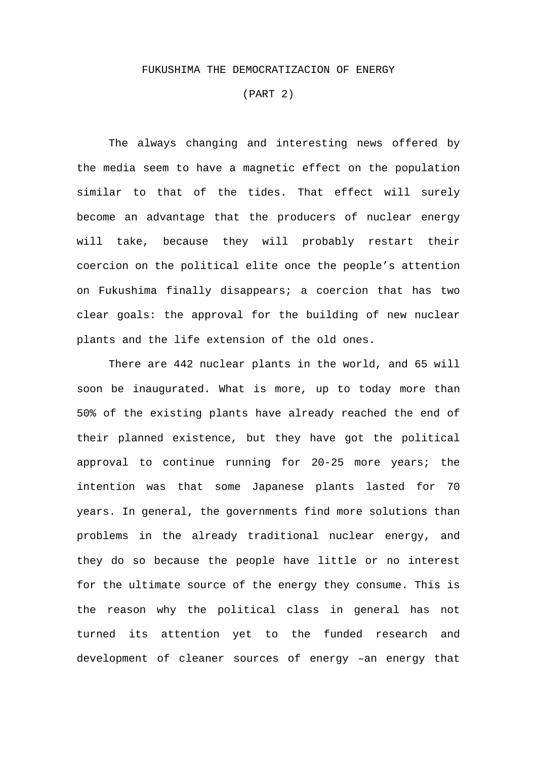## FUKUSHIMA THE DEMOCRATIZACION OF ENERGY

(PART 2)

The always changing and interesting news offered by the media seem to have a magnetic effect on the population similar to that of the tides. That effect will surely become an advantage that the producers of nuclear energy will take, because they will probably restart their coercion on the political elite once the people's attention on Fukushima finally disappears; a coercion that has two clear goals: the approval for the building of new nuclear plants and the life extension of the old ones.

There are 442 nuclear plants in the world, and 65 will soon be inaugurated. What is more, up to today more than 50% of the existing plants have already reached the end of their planned existence, but they have got the political approval to continue running for 20-25 more years; the intention was that some Japanese plants lasted for 70 years. In general, the governments find more solutions than problems in the already traditional nuclear energy, and they do so because the people have little or no interest for the ultimate source of the energy they consume. This is the reason why the political class in general has not turned its attention yet to the funded research and development of cleaner sources of energy –an energy that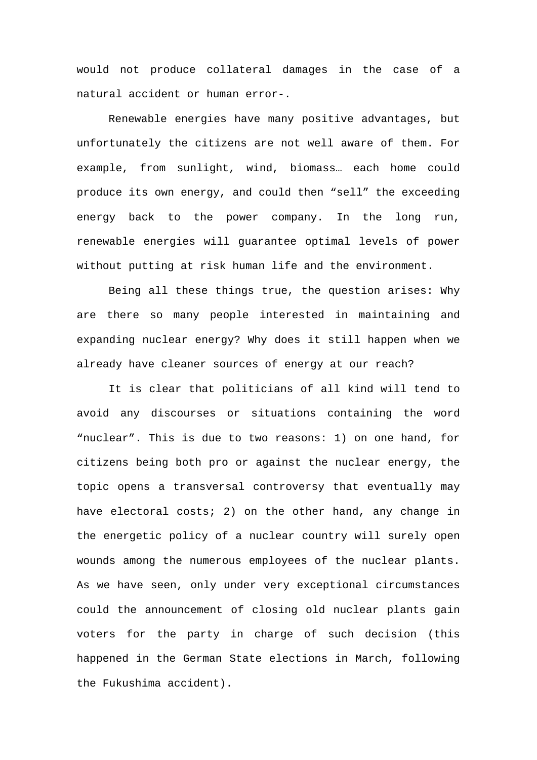would not produce collateral damages in the case of a natural accident or human error-.

Renewable energies have many positive advantages, but unfortunately the citizens are not well aware of them. For example, from sunlight, wind, biomass… each home could produce its own energy, and could then "sell" the exceeding energy back to the power company. In the long run, renewable energies will guarantee optimal levels of power without putting at risk human life and the environment.

Being all these things true, the question arises: Why are there so many people interested in maintaining and expanding nuclear energy? Why does it still happen when we already have cleaner sources of energy at our reach?

It is clear that politicians of all kind will tend to avoid any discourses or situations containing the word "nuclear". This is due to two reasons: 1) on one hand, for citizens being both pro or against the nuclear energy, the topic opens a transversal controversy that eventually may have electoral costs; 2) on the other hand, any change in the energetic policy of a nuclear country will surely open wounds among the numerous employees of the nuclear plants. As we have seen, only under very exceptional circumstances could the announcement of closing old nuclear plants gain voters for the party in charge of such decision (this happened in the German State elections in March, following the Fukushima accident).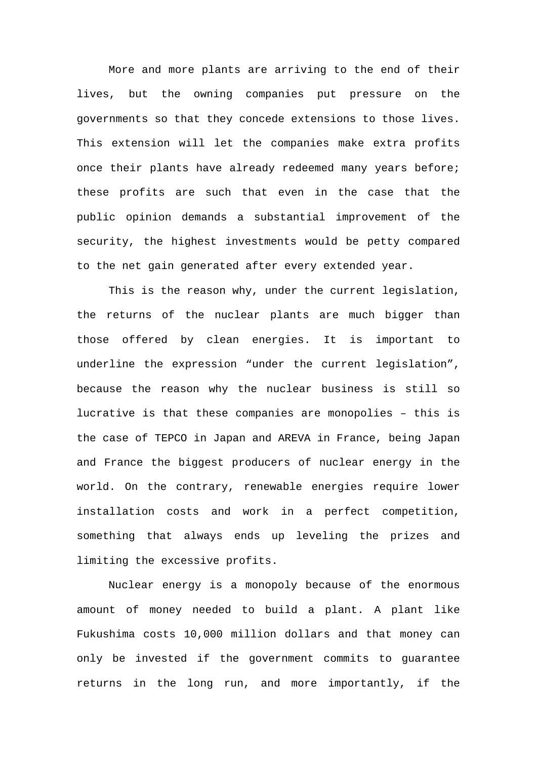More and more plants are arriving to the end of their lives, but the owning companies put pressure on the governments so that they concede extensions to those lives. This extension will let the companies make extra profits once their plants have already redeemed many years before; these profits are such that even in the case that the public opinion demands a substantial improvement of the security, the highest investments would be petty compared to the net gain generated after every extended year.

This is the reason why, under the current legislation, the returns of the nuclear plants are much bigger than those offered by clean energies. It is important to underline the expression "under the current legislation", because the reason why the nuclear business is still so lucrative is that these companies are monopolies – this is the case of TEPCO in Japan and AREVA in France, being Japan and France the biggest producers of nuclear energy in the world. On the contrary, renewable energies require lower installation costs and work in a perfect competition, something that always ends up leveling the prizes and limiting the excessive profits.

Nuclear energy is a monopoly because of the enormous amount of money needed to build a plant. A plant like Fukushima costs 10,000 million dollars and that money can only be invested if the government commits to guarantee returns in the long run, and more importantly, if the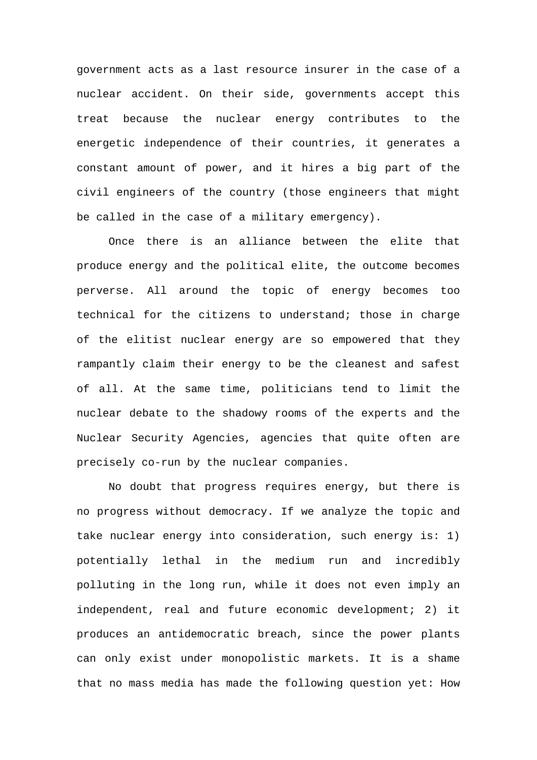government acts as a last resource insurer in the case of a nuclear accident. On their side, governments accept this treat because the nuclear energy contributes to the energetic independence of their countries, it generates a constant amount of power, and it hires a big part of the civil engineers of the country (those engineers that might be called in the case of a military emergency).

 Once there is an alliance between the elite that produce energy and the political elite, the outcome becomes perverse. All around the topic of energy becomes too technical for the citizens to understand; those in charge of the elitist nuclear energy are so empowered that they rampantly claim their energy to be the cleanest and safest of all. At the same time, politicians tend to limit the nuclear debate to the shadowy rooms of the experts and the Nuclear Security Agencies, agencies that quite often are precisely co-run by the nuclear companies.

 No doubt that progress requires energy, but there is no progress without democracy. If we analyze the topic and take nuclear energy into consideration, such energy is: 1) potentially lethal in the medium run and incredibly polluting in the long run, while it does not even imply an independent, real and future economic development; 2) it produces an antidemocratic breach, since the power plants can only exist under monopolistic markets. It is a shame that no mass media has made the following question yet: How